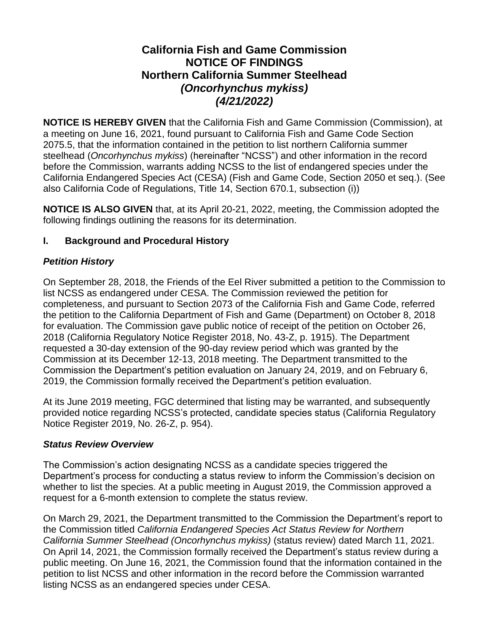## **California Fish and Game Commission NOTICE OF FINDINGS Northern California Summer Steelhead** *(Oncorhynchus mykiss) (4/21/2022)*

**NOTICE IS HEREBY GIVEN** that the California Fish and Game Commission (Commission), at a meeting on June 16, 2021, found pursuant to California Fish and Game Code Section 2075.5, that the information contained in the petition to list northern California summer steelhead (*Oncorhynchus mykiss*) (hereinafter "NCSS") and other information in the record before the Commission, warrants adding NCSS to the list of endangered species under the California Endangered Species Act (CESA) (Fish and Game Code, Section 2050 et seq.). (See also California Code of Regulations, Title 14, Section 670.1, subsection (i))

**NOTICE IS ALSO GIVEN** that, at its April 20-21, 2022, meeting, the Commission adopted the following findings outlining the reasons for its determination.

## **I. Background and Procedural History**

## *Petition History*

On September 28, 2018, the Friends of the Eel River submitted a petition to the Commission to list NCSS as endangered under CESA. The Commission reviewed the petition for completeness, and pursuant to Section 2073 of the California Fish and Game Code, referred the petition to the California Department of Fish and Game (Department) on October 8, 2018 for evaluation. The Commission gave public notice of receipt of the petition on October 26, 2018 (California Regulatory Notice Register 2018, No. 43-Z, p. 1915). The Department requested a 30-day extension of the 90-day review period which was granted by the Commission at its December 12-13, 2018 meeting. The Department transmitted to the Commission the Department's petition evaluation on January 24, 2019, and on February 6, 2019, the Commission formally received the Department's petition evaluation.

At its June 2019 meeting, FGC determined that listing may be warranted, and subsequently provided notice regarding NCSS's protected, candidate species status (California Regulatory Notice Register 2019, No. 26-Z, p. 954).

### *Status Review Overview*

The Commission's action designating NCSS as a candidate species triggered the Department's process for conducting a status review to inform the Commission's decision on whether to list the species. At a public meeting in August 2019, the Commission approved a request for a 6-month extension to complete the status review.

On March 29, 2021, the Department transmitted to the Commission the Department's report to the Commission titled *California Endangered Species Act Status Review for Northern California Summer Steelhead (Oncorhynchus mykiss)* (status review) dated March 11, 2021. On April 14, 2021, the Commission formally received the Department's status review during a public meeting. On June 16, 2021, the Commission found that the information contained in the petition to list NCSS and other information in the record before the Commission warranted listing NCSS as an endangered species under CESA.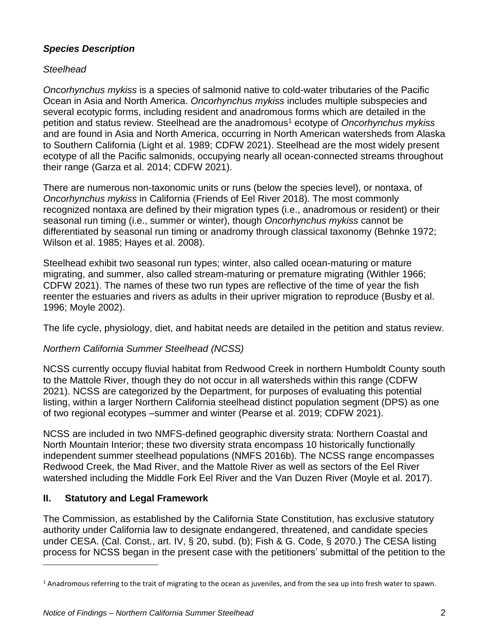## *Species Description*

## *Steelhead*

*Oncorhynchus mykiss* is a species of salmonid native to cold-water tributaries of the Pacific Ocean in Asia and North America. *Oncorhynchus mykiss* includes multiple subspecies and several ecotypic forms, including resident and anadromous forms which are detailed in the petition and status review. Steelhead are the anadromous<sup>1</sup> ecotype of *Oncorhynchus mykiss* and are found in Asia and North America, occurring in North American watersheds from Alaska to Southern California (Light et al. 1989; CDFW 2021). Steelhead are the most widely present ecotype of all the Pacific salmonids, occupying nearly all ocean-connected streams throughout their range (Garza et al. 2014; CDFW 2021).

There are numerous non-taxonomic units or runs (below the species level), or nontaxa, of *Oncorhynchus mykiss* in California (Friends of Eel River 2018). The most commonly recognized nontaxa are defined by their migration types (i.e., anadromous or resident) or their seasonal run timing (i.e., summer or winter), though *Oncorhynchus mykiss* cannot be differentiated by seasonal run timing or anadromy through classical taxonomy (Behnke 1972; Wilson et al. 1985; Hayes et al. 2008).

Steelhead exhibit two seasonal run types; winter, also called ocean-maturing or mature migrating, and summer, also called stream-maturing or premature migrating (Withler 1966; CDFW 2021). The names of these two run types are reflective of the time of year the fish reenter the estuaries and rivers as adults in their upriver migration to reproduce (Busby et al. 1996; Moyle 2002).

The life cycle, physiology, diet, and habitat needs are detailed in the petition and status review.

## *Northern California Summer Steelhead (NCSS)*

NCSS currently occupy fluvial habitat from Redwood Creek in northern Humboldt County south to the Mattole River, though they do not occur in all watersheds within this range (CDFW 2021). NCSS are categorized by the Department, for purposes of evaluating this potential listing, within a larger Northern California steelhead distinct population segment (DPS) as one of two regional ecotypes –summer and winter (Pearse et al. 2019; CDFW 2021).

NCSS are included in two NMFS-defined geographic diversity strata: Northern Coastal and North Mountain Interior; these two diversity strata encompass 10 historically functionally independent summer steelhead populations (NMFS 2016b). The NCSS range encompasses Redwood Creek, the Mad River, and the Mattole River as well as sectors of the Eel River watershed including the Middle Fork Eel River and the Van Duzen River (Moyle et al. 2017).

## **II. Statutory and Legal Framework**

The Commission, as established by the California State Constitution, has exclusive statutory authority under California law to designate endangered, threatened, and candidate species under CESA. (Cal. Const., art. IV, § 20, subd. (b); Fish & G. Code, § 2070.) The CESA listing process for NCSS began in the present case with the petitioners' submittal of the petition to the

 $1$  Anadromous referring to the trait of migrating to the ocean as juveniles, and from the sea up into fresh water to spawn.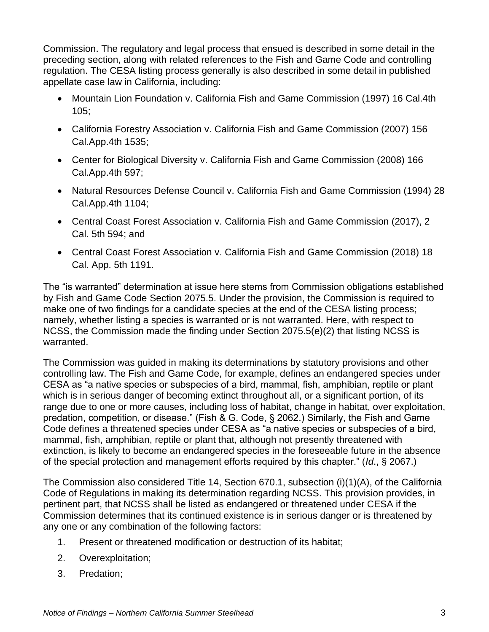Commission. The regulatory and legal process that ensued is described in some detail in the preceding section, along with related references to the Fish and Game Code and controlling regulation. The CESA listing process generally is also described in some detail in published appellate case law in California, including:

- Mountain Lion Foundation v. California Fish and Game Commission (1997) 16 Cal.4th  $105$ ;
- California Forestry Association v. California Fish and Game Commission (2007) 156 Cal.App.4th 1535;
- Center for Biological Diversity v. California Fish and Game Commission (2008) 166 Cal.App.4th 597;
- Natural Resources Defense Council v. California Fish and Game Commission (1994) 28 Cal.App.4th 1104;
- Central Coast Forest Association v. California Fish and Game Commission (2017), 2 Cal. 5th 594; and
- Central Coast Forest Association v. California Fish and Game Commission (2018) 18 Cal. App. 5th 1191.

The "is warranted" determination at issue here stems from Commission obligations established by Fish and Game Code Section 2075.5. Under the provision, the Commission is required to make one of two findings for a candidate species at the end of the CESA listing process; namely, whether listing a species is warranted or is not warranted. Here, with respect to NCSS, the Commission made the finding under Section 2075.5(e)(2) that listing NCSS is warranted.

The Commission was guided in making its determinations by statutory provisions and other controlling law. The Fish and Game Code, for example, defines an endangered species under CESA as "a native species or subspecies of a bird, mammal, fish, amphibian, reptile or plant which is in serious danger of becoming extinct throughout all, or a significant portion, of its range due to one or more causes, including loss of habitat, change in habitat, over exploitation, predation, competition, or disease." (Fish & G. Code, § 2062.) Similarly, the Fish and Game Code defines a threatened species under CESA as "a native species or subspecies of a bird, mammal, fish, amphibian, reptile or plant that, although not presently threatened with extinction, is likely to become an endangered species in the foreseeable future in the absence of the special protection and management efforts required by this chapter." (*Id*., § 2067.)

The Commission also considered Title 14, Section 670.1, subsection (i)(1)(A), of the California Code of Regulations in making its determination regarding NCSS. This provision provides, in pertinent part, that NCSS shall be listed as endangered or threatened under CESA if the Commission determines that its continued existence is in serious danger or is threatened by any one or any combination of the following factors:

- 1. Present or threatened modification or destruction of its habitat;
- 2. Overexploitation;
- 3. Predation;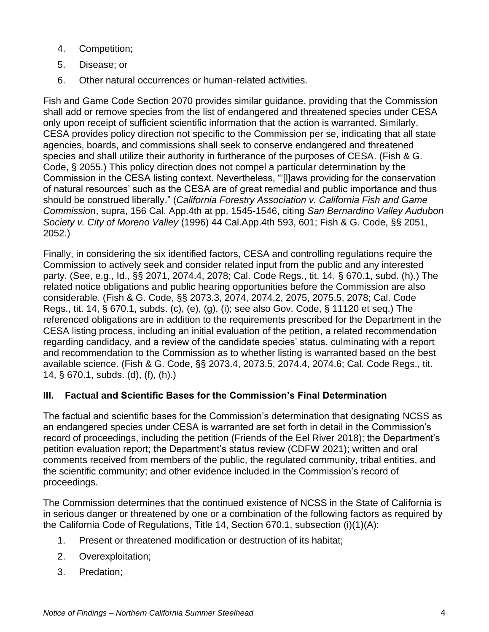- 4. Competition;
- 5. Disease; or
- 6. Other natural occurrences or human-related activities.

Fish and Game Code Section 2070 provides similar guidance, providing that the Commission shall add or remove species from the list of endangered and threatened species under CESA only upon receipt of sufficient scientific information that the action is warranted. Similarly, CESA provides policy direction not specific to the Commission per se, indicating that all state agencies, boards, and commissions shall seek to conserve endangered and threatened species and shall utilize their authority in furtherance of the purposes of CESA. (Fish & G. Code, § 2055.) This policy direction does not compel a particular determination by the Commission in the CESA listing context. Nevertheless, "'[l]aws providing for the conservation of natural resources' such as the CESA are of great remedial and public importance and thus should be construed liberally." (*California Forestry Association v. California Fish and Game Commission*, supra, 156 Cal. App.4th at pp. 1545-1546, citing *San Bernardino Valley Audubon Society v. City of Moreno Valley* (1996) 44 Cal.App.4th 593, 601; Fish & G. Code, §§ 2051, 2052.)

Finally, in considering the six identified factors, CESA and controlling regulations require the Commission to actively seek and consider related input from the public and any interested party. (See, e.g., Id., §§ 2071, 2074.4, 2078; Cal. Code Regs., tit. 14, § 670.1, subd. (h).) The related notice obligations and public hearing opportunities before the Commission are also considerable. (Fish & G. Code, §§ 2073.3, 2074, 2074.2, 2075, 2075.5, 2078; Cal. Code Regs., tit. 14, § 670.1, subds. (c), (e), (g), (i); see also Gov. Code, § 11120 et seq.) The referenced obligations are in addition to the requirements prescribed for the Department in the CESA listing process, including an initial evaluation of the petition, a related recommendation regarding candidacy, and a review of the candidate species' status, culminating with a report and recommendation to the Commission as to whether listing is warranted based on the best available science. (Fish & G. Code, §§ 2073.4, 2073.5, 2074.4, 2074.6; Cal. Code Regs., tit. 14, § 670.1, subds. (d), (f), (h).)

### **III. Factual and Scientific Bases for the Commission's Final Determination**

The factual and scientific bases for the Commission's determination that designating NCSS as an endangered species under CESA is warranted are set forth in detail in the Commission's record of proceedings, including the petition (Friends of the Eel River 2018); the Department's petition evaluation report; the Department's status review (CDFW 2021); written and oral comments received from members of the public, the regulated community, tribal entities, and the scientific community; and other evidence included in the Commission's record of proceedings.

The Commission determines that the continued existence of NCSS in the State of California is in serious danger or threatened by one or a combination of the following factors as required by the California Code of Regulations, Title 14, Section 670.1, subsection (i)(1)(A):

- 1. Present or threatened modification or destruction of its habitat;
- 2. Overexploitation;
- 3. Predation;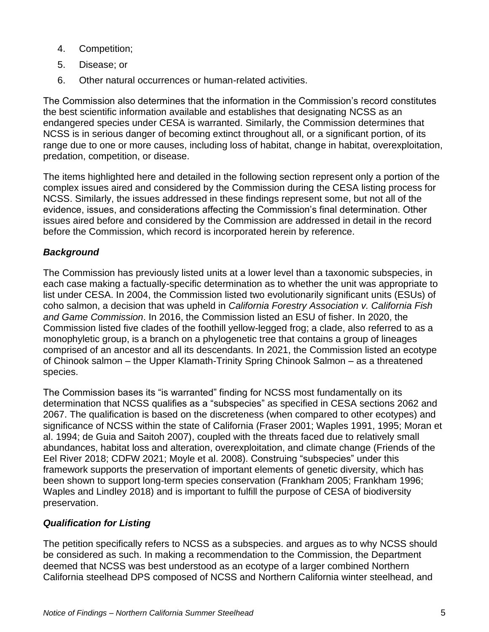- 4. Competition;
- 5. Disease; or
- 6. Other natural occurrences or human-related activities.

The Commission also determines that the information in the Commission's record constitutes the best scientific information available and establishes that designating NCSS as an endangered species under CESA is warranted. Similarly, the Commission determines that NCSS is in serious danger of becoming extinct throughout all, or a significant portion, of its range due to one or more causes, including loss of habitat, change in habitat, overexploitation, predation, competition, or disease.

The items highlighted here and detailed in the following section represent only a portion of the complex issues aired and considered by the Commission during the CESA listing process for NCSS. Similarly, the issues addressed in these findings represent some, but not all of the evidence, issues, and considerations affecting the Commission's final determination. Other issues aired before and considered by the Commission are addressed in detail in the record before the Commission, which record is incorporated herein by reference.

# *Background*

The Commission has previously listed units at a lower level than a taxonomic subspecies, in each case making a factually-specific determination as to whether the unit was appropriate to list under CESA. In 2004, the Commission listed two evolutionarily significant units (ESUs) of coho salmon, a decision that was upheld in *California Forestry Association v. California Fish and Game Commission*. In 2016, the Commission listed an ESU of fisher. In 2020, the Commission listed five clades of the foothill yellow-legged frog; a clade, also referred to as a monophyletic group, is a branch on a phylogenetic tree that contains a group of lineages comprised of an ancestor and all its descendants. In 2021, the Commission listed an ecotype of Chinook salmon – the Upper Klamath-Trinity Spring Chinook Salmon – as a threatened species.

The Commission bases its "is warranted" finding for NCSS most fundamentally on its determination that NCSS qualifies as a "subspecies" as specified in CESA sections 2062 and 2067. The qualification is based on the discreteness (when compared to other ecotypes) and significance of NCSS within the state of California (Fraser 2001; Waples 1991, 1995; Moran et al. 1994; de Guia and Saitoh 2007), coupled with the threats faced due to relatively small abundances, habitat loss and alteration, overexploitation, and climate change (Friends of the Eel River 2018; CDFW 2021; Moyle et al. 2008). Construing "subspecies" under this framework supports the preservation of important elements of genetic diversity, which has been shown to support long-term species conservation (Frankham 2005; Frankham 1996; Waples and Lindley 2018) and is important to fulfill the purpose of CESA of biodiversity preservation.

## *Qualification for Listing*

The petition specifically refers to NCSS as a subspecies. and argues as to why NCSS should be considered as such. In making a recommendation to the Commission, the Department deemed that NCSS was best understood as an ecotype of a larger combined Northern California steelhead DPS composed of NCSS and Northern California winter steelhead, and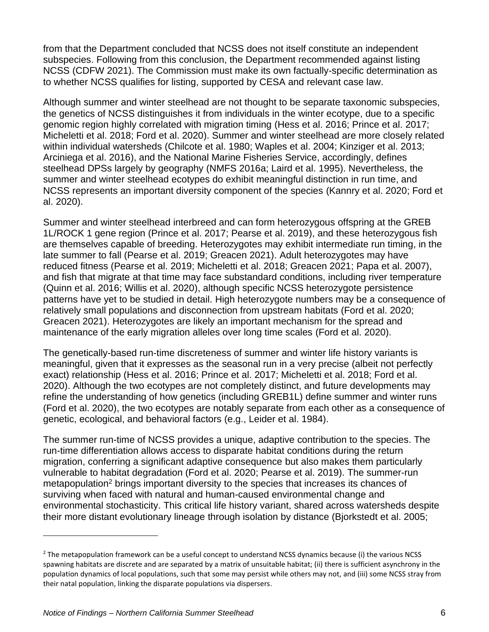from that the Department concluded that NCSS does not itself constitute an independent subspecies. Following from this conclusion, the Department recommended against listing NCSS (CDFW 2021). The Commission must make its own factually-specific determination as to whether NCSS qualifies for listing, supported by CESA and relevant case law.

Although summer and winter steelhead are not thought to be separate taxonomic subspecies, the genetics of NCSS distinguishes it from individuals in the winter ecotype, due to a specific genomic region highly correlated with migration timing (Hess et al. 2016; Prince et al. 2017; Micheletti et al. 2018; Ford et al. 2020). Summer and winter steelhead are more closely related within individual watersheds (Chilcote et al. 1980; Waples et al. 2004; Kinziger et al. 2013; Arciniega et al. 2016), and the National Marine Fisheries Service, accordingly, defines steelhead DPSs largely by geography (NMFS 2016a; Laird et al. 1995). Nevertheless, the summer and winter steelhead ecotypes do exhibit meaningful distinction in run time, and NCSS represents an important diversity component of the species (Kannry et al. 2020; Ford et al. 2020).

Summer and winter steelhead interbreed and can form heterozygous offspring at the GREB 1L/ROCK 1 gene region (Prince et al. 2017; Pearse et al. 2019), and these heterozygous fish are themselves capable of breeding. Heterozygotes may exhibit intermediate run timing, in the late summer to fall (Pearse et al. 2019; Greacen 2021). Adult heterozygotes may have reduced fitness (Pearse et al. 2019; Micheletti et al. 2018; Greacen 2021; Papa et al. 2007), and fish that migrate at that time may face substandard conditions, including river temperature (Quinn et al. 2016; Willis et al. 2020), although specific NCSS heterozygote persistence patterns have yet to be studied in detail. High heterozygote numbers may be a consequence of relatively small populations and disconnection from upstream habitats (Ford et al. 2020; Greacen 2021). Heterozygotes are likely an important mechanism for the spread and maintenance of the early migration alleles over long time scales (Ford et al. 2020).

The genetically-based run-time discreteness of summer and winter life history variants is meaningful, given that it expresses as the seasonal run in a very precise (albeit not perfectly exact) relationship (Hess et al. 2016; Prince et al. 2017; Micheletti et al. 2018; Ford et al. 2020). Although the two ecotypes are not completely distinct, and future developments may refine the understanding of how genetics (including GREB1L) define summer and winter runs (Ford et al. 2020), the two ecotypes are notably separate from each other as a consequence of genetic, ecological, and behavioral factors (e.g., Leider et al. 1984).

The summer run-time of NCSS provides a unique, adaptive contribution to the species. The run-time differentiation allows access to disparate habitat conditions during the return migration, conferring a significant adaptive consequence but also makes them particularly vulnerable to habitat degradation (Ford et al. 2020; Pearse et al. 2019). The summer-run metapopulation<sup>2</sup> brings important diversity to the species that increases its chances of surviving when faced with natural and human-caused environmental change and environmental stochasticity. This critical life history variant, shared across watersheds despite their more distant evolutionary lineage through isolation by distance (Bjorkstedt et al. 2005;

 $<sup>2</sup>$  The metapopulation framework can be a useful concept to understand NCSS dynamics because (i) the various NCSS</sup> spawning habitats are discrete and are separated by a matrix of unsuitable habitat; (ii) there is sufficient asynchrony in the population dynamics of local populations, such that some may persist while others may not, and (iii) some NCSS stray from their natal population, linking the disparate populations via dispersers.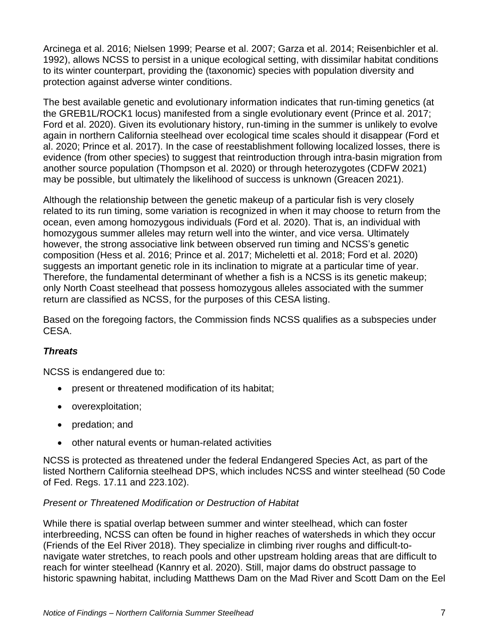Arcinega et al. 2016; Nielsen 1999; Pearse et al. 2007; Garza et al. 2014; Reisenbichler et al. 1992), allows NCSS to persist in a unique ecological setting, with dissimilar habitat conditions to its winter counterpart, providing the (taxonomic) species with population diversity and protection against adverse winter conditions.

The best available genetic and evolutionary information indicates that run-timing genetics (at the GREB1L/ROCK1 locus) manifested from a single evolutionary event (Prince et al. 2017; Ford et al. 2020). Given its evolutionary history, run-timing in the summer is unlikely to evolve again in northern California steelhead over ecological time scales should it disappear (Ford et al. 2020; Prince et al. 2017). In the case of reestablishment following localized losses, there is evidence (from other species) to suggest that reintroduction through intra-basin migration from another source population (Thompson et al. 2020) or through heterozygotes (CDFW 2021) may be possible, but ultimately the likelihood of success is unknown (Greacen 2021).

Although the relationship between the genetic makeup of a particular fish is very closely related to its run timing, some variation is recognized in when it may choose to return from the ocean, even among homozygous individuals (Ford et al. 2020). That is, an individual with homozygous summer alleles may return well into the winter, and vice versa. Ultimately however, the strong associative link between observed run timing and NCSS's genetic composition (Hess et al. 2016; Prince et al. 2017; Micheletti et al. 2018; Ford et al. 2020) suggests an important genetic role in its inclination to migrate at a particular time of year. Therefore, the fundamental determinant of whether a fish is a NCSS is its genetic makeup; only North Coast steelhead that possess homozygous alleles associated with the summer return are classified as NCSS, for the purposes of this CESA listing.

Based on the foregoing factors, the Commission finds NCSS qualifies as a subspecies under CESA.

### *Threats*

NCSS is endangered due to:

- present or threatened modification of its habitat;
- overexploitation;
- predation; and
- other natural events or human-related activities

NCSS is protected as threatened under the federal Endangered Species Act, as part of the listed Northern California steelhead DPS, which includes NCSS and winter steelhead (50 Code of Fed. Regs. 17.11 and 223.102).

### *Present or Threatened Modification or Destruction of Habitat*

While there is spatial overlap between summer and winter steelhead, which can foster interbreeding, NCSS can often be found in higher reaches of watersheds in which they occur (Friends of the Eel River 2018). They specialize in climbing river roughs and difficult-tonavigate water stretches, to reach pools and other upstream holding areas that are difficult to reach for winter steelhead (Kannry et al. 2020). Still, major dams do obstruct passage to historic spawning habitat, including Matthews Dam on the Mad River and Scott Dam on the Eel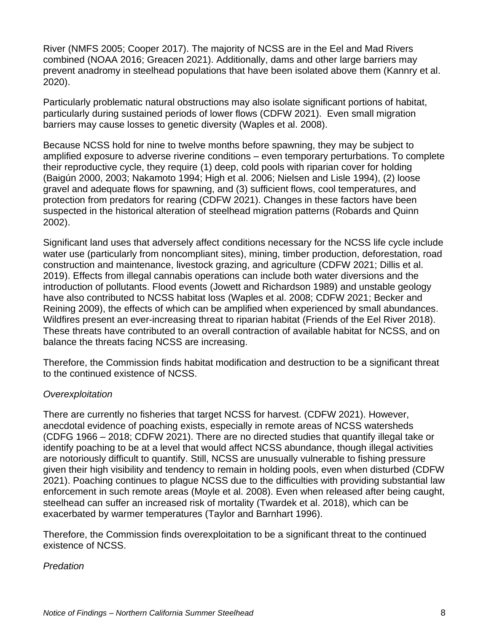River (NMFS 2005; Cooper 2017). The majority of NCSS are in the Eel and Mad Rivers combined (NOAA 2016; Greacen 2021). Additionally, dams and other large barriers may prevent anadromy in steelhead populations that have been isolated above them (Kannry et al. 2020).

Particularly problematic natural obstructions may also isolate significant portions of habitat, particularly during sustained periods of lower flows (CDFW 2021). Even small migration barriers may cause losses to genetic diversity (Waples et al. 2008).

Because NCSS hold for nine to twelve months before spawning, they may be subject to amplified exposure to adverse riverine conditions – even temporary perturbations. To complete their reproductive cycle, they require (1) deep, cold pools with riparian cover for holding (Baigún 2000, 2003; Nakamoto 1994; High et al. 2006; Nielsen and Lisle 1994), (2) loose gravel and adequate flows for spawning, and (3) sufficient flows, cool temperatures, and protection from predators for rearing (CDFW 2021). Changes in these factors have been suspected in the historical alteration of steelhead migration patterns (Robards and Quinn 2002).

Significant land uses that adversely affect conditions necessary for the NCSS life cycle include water use (particularly from noncompliant sites), mining, timber production, deforestation, road construction and maintenance, livestock grazing, and agriculture (CDFW 2021; Dillis et al. 2019). Effects from illegal cannabis operations can include both water diversions and the introduction of pollutants. Flood events (Jowett and Richardson 1989) and unstable geology have also contributed to NCSS habitat loss (Waples et al. 2008; CDFW 2021; Becker and Reining 2009), the effects of which can be amplified when experienced by small abundances. Wildfires present an ever-increasing threat to riparian habitat (Friends of the Eel River 2018). These threats have contributed to an overall contraction of available habitat for NCSS, and on balance the threats facing NCSS are increasing.

Therefore, the Commission finds habitat modification and destruction to be a significant threat to the continued existence of NCSS.

### *Overexploitation*

There are currently no fisheries that target NCSS for harvest. (CDFW 2021). However, anecdotal evidence of poaching exists, especially in remote areas of NCSS watersheds (CDFG 1966 – 2018; CDFW 2021). There are no directed studies that quantify illegal take or identify poaching to be at a level that would affect NCSS abundance, though illegal activities are notoriously difficult to quantify. Still, NCSS are unusually vulnerable to fishing pressure given their high visibility and tendency to remain in holding pools, even when disturbed (CDFW 2021). Poaching continues to plague NCSS due to the difficulties with providing substantial law enforcement in such remote areas (Moyle et al. 2008). Even when released after being caught, steelhead can suffer an increased risk of mortality (Twardek et al. 2018), which can be exacerbated by warmer temperatures (Taylor and Barnhart 1996).

Therefore, the Commission finds overexploitation to be a significant threat to the continued existence of NCSS.

### *Predation*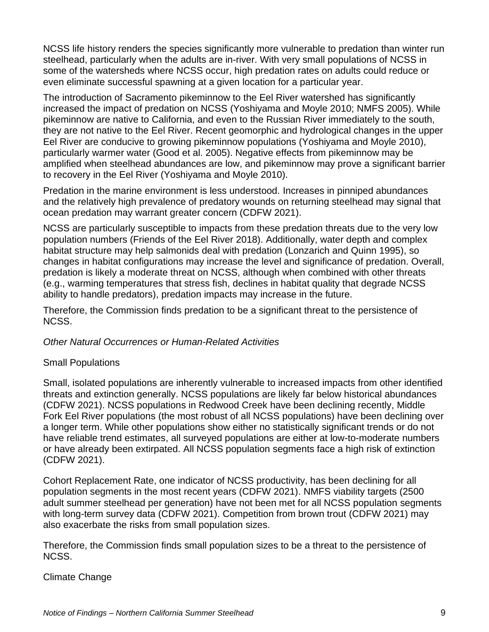NCSS life history renders the species significantly more vulnerable to predation than winter run steelhead, particularly when the adults are in-river. With very small populations of NCSS in some of the watersheds where NCSS occur, high predation rates on adults could reduce or even eliminate successful spawning at a given location for a particular year.

The introduction of Sacramento pikeminnow to the Eel River watershed has significantly increased the impact of predation on NCSS (Yoshiyama and Moyle 2010; NMFS 2005). While pikeminnow are native to California, and even to the Russian River immediately to the south, they are not native to the Eel River. Recent geomorphic and hydrological changes in the upper Eel River are conducive to growing pikeminnow populations (Yoshiyama and Moyle 2010), particularly warmer water (Good et al. 2005). Negative effects from pikeminnow may be amplified when steelhead abundances are low, and pikeminnow may prove a significant barrier to recovery in the Eel River (Yoshiyama and Moyle 2010).

Predation in the marine environment is less understood. Increases in pinniped abundances and the relatively high prevalence of predatory wounds on returning steelhead may signal that ocean predation may warrant greater concern (CDFW 2021).

NCSS are particularly susceptible to impacts from these predation threats due to the very low population numbers (Friends of the Eel River 2018). Additionally, water depth and complex habitat structure may help salmonids deal with predation (Lonzarich and Quinn 1995), so changes in habitat configurations may increase the level and significance of predation. Overall, predation is likely a moderate threat on NCSS, although when combined with other threats (e.g., warming temperatures that stress fish, declines in habitat quality that degrade NCSS ability to handle predators), predation impacts may increase in the future.

Therefore, the Commission finds predation to be a significant threat to the persistence of NCSS.

*Other Natural Occurrences or Human-Related Activities*

### Small Populations

Small, isolated populations are inherently vulnerable to increased impacts from other identified threats and extinction generally. NCSS populations are likely far below historical abundances (CDFW 2021). NCSS populations in Redwood Creek have been declining recently, Middle Fork Eel River populations (the most robust of all NCSS populations) have been declining over a longer term. While other populations show either no statistically significant trends or do not have reliable trend estimates, all surveyed populations are either at low-to-moderate numbers or have already been extirpated. All NCSS population segments face a high risk of extinction (CDFW 2021).

Cohort Replacement Rate, one indicator of NCSS productivity, has been declining for all population segments in the most recent years (CDFW 2021). NMFS viability targets (2500 adult summer steelhead per generation) have not been met for all NCSS population segments with long-term survey data (CDFW 2021). Competition from brown trout (CDFW 2021) may also exacerbate the risks from small population sizes.

Therefore, the Commission finds small population sizes to be a threat to the persistence of NCSS.

#### Climate Change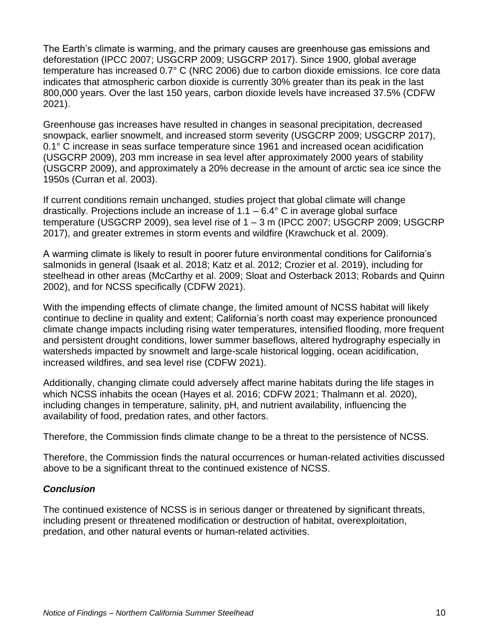The Earth's climate is warming, and the primary causes are greenhouse gas emissions and deforestation (IPCC 2007; USGCRP 2009; USGCRP 2017). Since 1900, global average temperature has increased 0.7° C (NRC 2006) due to carbon dioxide emissions. Ice core data indicates that atmospheric carbon dioxide is currently 30% greater than its peak in the last 800,000 years. Over the last 150 years, carbon dioxide levels have increased 37.5% (CDFW 2021).

Greenhouse gas increases have resulted in changes in seasonal precipitation, decreased snowpack, earlier snowmelt, and increased storm severity (USGCRP 2009; USGCRP 2017), 0.1° C increase in seas surface temperature since 1961 and increased ocean acidification (USGCRP 2009), 203 mm increase in sea level after approximately 2000 years of stability (USGCRP 2009), and approximately a 20% decrease in the amount of arctic sea ice since the 1950s (Curran et al. 2003).

If current conditions remain unchanged, studies project that global climate will change drastically. Projections include an increase of  $1.1 - 6.4$ ° C in average global surface temperature (USGCRP 2009), sea level rise of 1 – 3 m (IPCC 2007; USGCRP 2009; USGCRP 2017), and greater extremes in storm events and wildfire (Krawchuck et al. 2009).

A warming climate is likely to result in poorer future environmental conditions for California's salmonids in general (Isaak et al. 2018; Katz et al. 2012; Crozier et al. 2019), including for steelhead in other areas (McCarthy et al. 2009; Sloat and Osterback 2013; Robards and Quinn 2002), and for NCSS specifically (CDFW 2021).

With the impending effects of climate change, the limited amount of NCSS habitat will likely continue to decline in quality and extent; California's north coast may experience pronounced climate change impacts including rising water temperatures, intensified flooding, more frequent and persistent drought conditions, lower summer baseflows, altered hydrography especially in watersheds impacted by snowmelt and large-scale historical logging, ocean acidification, increased wildfires, and sea level rise (CDFW 2021).

Additionally, changing climate could adversely affect marine habitats during the life stages in which NCSS inhabits the ocean (Hayes et al. 2016; CDFW 2021; Thalmann et al. 2020), including changes in temperature, salinity, pH, and nutrient availability, influencing the availability of food, predation rates, and other factors.

Therefore, the Commission finds climate change to be a threat to the persistence of NCSS.

Therefore, the Commission finds the natural occurrences or human-related activities discussed above to be a significant threat to the continued existence of NCSS.

### *Conclusion*

The continued existence of NCSS is in serious danger or threatened by significant threats, including present or threatened modification or destruction of habitat, overexploitation, predation, and other natural events or human-related activities.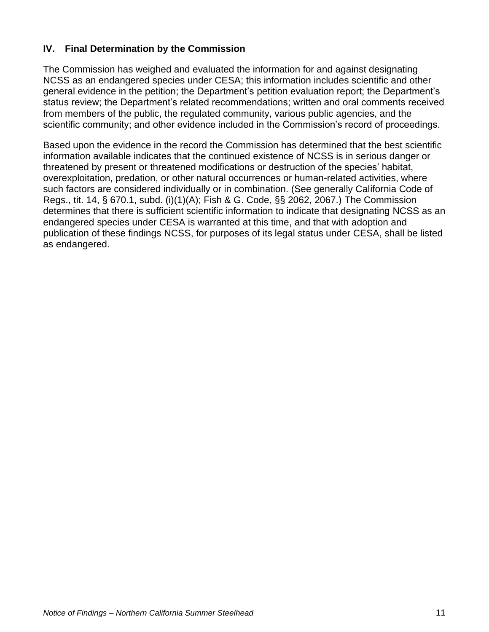## **IV. Final Determination by the Commission**

The Commission has weighed and evaluated the information for and against designating NCSS as an endangered species under CESA; this information includes scientific and other general evidence in the petition; the Department's petition evaluation report; the Department's status review; the Department's related recommendations; written and oral comments received from members of the public, the regulated community, various public agencies, and the scientific community; and other evidence included in the Commission's record of proceedings.

Based upon the evidence in the record the Commission has determined that the best scientific information available indicates that the continued existence of NCSS is in serious danger or threatened by present or threatened modifications or destruction of the species' habitat, overexploitation, predation, or other natural occurrences or human-related activities, where such factors are considered individually or in combination. (See generally California Code of Regs., tit. 14, § 670.1, subd. (i)(1)(A); Fish & G. Code, §§ 2062, 2067.) The Commission determines that there is sufficient scientific information to indicate that designating NCSS as an endangered species under CESA is warranted at this time, and that with adoption and publication of these findings NCSS, for purposes of its legal status under CESA, shall be listed as endangered.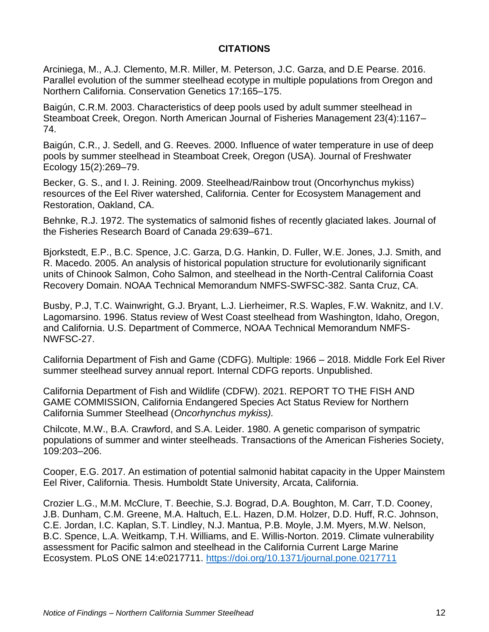### **CITATIONS**

Arciniega, M., A.J. Clemento, M.R. Miller, M. Peterson, J.C. Garza, and D.E Pearse. 2016. Parallel evolution of the summer steelhead ecotype in multiple populations from Oregon and Northern California. Conservation Genetics 17:165–175.

Baigún, C.R.M. 2003. Characteristics of deep pools used by adult summer steelhead in Steamboat Creek, Oregon. North American Journal of Fisheries Management 23(4):1167– 74.

Baigún, C.R., J. Sedell, and G. Reeves. 2000. Influence of water temperature in use of deep pools by summer steelhead in Steamboat Creek, Oregon (USA). Journal of Freshwater Ecology 15(2):269–79.

Becker, G. S., and I. J. Reining. 2009. Steelhead/Rainbow trout (Oncorhynchus mykiss) resources of the Eel River watershed, California. Center for Ecosystem Management and Restoration, Oakland, CA.

Behnke, R.J. 1972. The systematics of salmonid fishes of recently glaciated lakes. Journal of the Fisheries Research Board of Canada 29:639–671.

Bjorkstedt, E.P., B.C. Spence, J.C. Garza, D.G. Hankin, D. Fuller, W.E. Jones, J.J. Smith, and R. Macedo. 2005. An analysis of historical population structure for evolutionarily significant units of Chinook Salmon, Coho Salmon, and steelhead in the North-Central California Coast Recovery Domain. NOAA Technical Memorandum NMFS-SWFSC-382. Santa Cruz, CA.

Busby, P.J, T.C. Wainwright, G.J. Bryant, L.J. Lierheimer, R.S. Waples, F.W. Waknitz, and I.V. Lagomarsino. 1996. Status review of West Coast steelhead from Washington, Idaho, Oregon, and California. U.S. Department of Commerce, NOAA Technical Memorandum NMFS-NWFSC-27.

California Department of Fish and Game (CDFG). Multiple: 1966 – 2018. Middle Fork Eel River summer steelhead survey annual report. Internal CDFG reports. Unpublished.

California Department of Fish and Wildlife (CDFW). 2021. REPORT TO THE FISH AND GAME COMMISSION, California Endangered Species Act Status Review for Northern California Summer Steelhead (*Oncorhynchus mykiss).* 

Chilcote, M.W., B.A. Crawford, and S.A. Leider. 1980. A genetic comparison of sympatric populations of summer and winter steelheads. Transactions of the American Fisheries Society, 109:203–206.

Cooper, E.G. 2017. An estimation of potential salmonid habitat capacity in the Upper Mainstem Eel River, California. Thesis. Humboldt State University, Arcata, California.

Crozier L.G., M.M. McClure, T. Beechie, S.J. Bograd, D.A. Boughton, M. Carr, T.D. Cooney, J.B. Dunham, C.M. Greene, M.A. Haltuch, E.L. Hazen, D.M. Holzer, D.D. Huff, R.C. Johnson, C.E. Jordan, I.C. Kaplan, S.T. Lindley, N.J. Mantua, P.B. Moyle, J.M. Myers, M.W. Nelson, B.C. Spence, L.A. Weitkamp, T.H. Williams, and E. Willis-Norton. 2019. Climate vulnerability assessment for Pacific salmon and steelhead in the California Current Large Marine Ecosystem. PLoS ONE 14:e0217711.<https://doi.org/10.1371/journal.pone.0217711>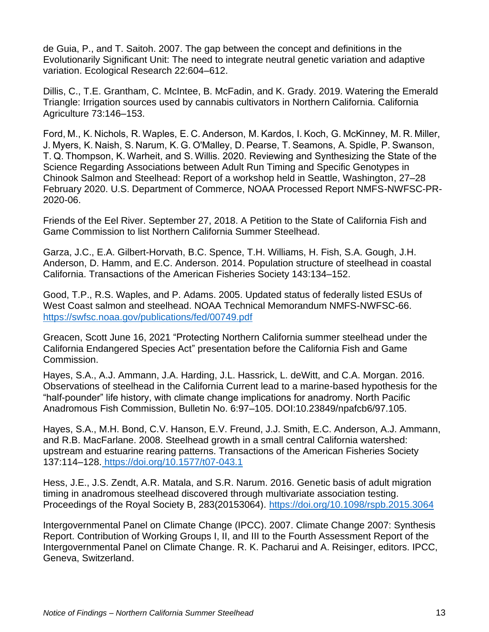de Guia, P., and T. Saitoh. 2007. The gap between the concept and definitions in the Evolutionarily Significant Unit: The need to integrate neutral genetic variation and adaptive variation. Ecological Research 22:604–612.

Dillis, C., T.E. Grantham, C. McIntee, B. McFadin, and K. Grady. 2019. Watering the Emerald Triangle: Irrigation sources used by cannabis cultivators in Northern California. California Agriculture 73:146–153.

Ford, M., K. Nichols, R. Waples, E. C. Anderson, M. Kardos, I. Koch, G. McKinney, M. R. Miller, J. Myers, K. Naish, S. Narum, K. G. O'Malley, D. Pearse, T. Seamons, A. Spidle, P. Swanson, T. Q. Thompson, K. Warheit, and S. Willis. 2020. Reviewing and Synthesizing the State of the Science Regarding Associations between Adult Run Timing and Specific Genotypes in Chinook Salmon and Steelhead: Report of a workshop held in Seattle, Washington, 27–28 February 2020. U.S. Department of Commerce, NOAA Processed Report NMFS-NWFSC-PR-2020-06.

Friends of the Eel River. September 27, 2018. A Petition to the State of California Fish and Game Commission to list Northern California Summer Steelhead.

Garza, J.C., E.A. Gilbert-Horvath, B.C. Spence, T.H. Williams, H. Fish, S.A. Gough, J.H. Anderson, D. Hamm, and E.C. Anderson. 2014. Population structure of steelhead in coastal California. Transactions of the American Fisheries Society 143:134–152.

Good, T.P., R.S. Waples, and P. Adams. 2005. Updated status of federally listed ESUs of West Coast salmon and steelhead. NOAA Technical Memorandum NMFS-NWFSC-66. <https://swfsc.noaa.gov/publications/fed/00749.pdf>

Greacen, Scott June 16, 2021 "Protecting Northern California summer steelhead under the California Endangered Species Act" presentation before the California Fish and Game Commission.

Hayes, S.A., A.J. Ammann, J.A. Harding, J.L. Hassrick, L. deWitt, and C.A. Morgan. 2016. Observations of steelhead in the California Current lead to a marine-based hypothesis for the "half-pounder" life history, with climate change implications for anadromy. North Pacific Anadromous Fish Commission, Bulletin No. 6:97–105. DOI:10.23849/npafcb6/97.105.

Hayes, S.A., M.H. Bond, C.V. Hanson, E.V. Freund, J.J. Smith, E.C. Anderson, A.J. Ammann, and R.B. MacFarlane. 2008. Steelhead growth in a small central California watershed: upstream and estuarine rearing patterns. Transactions of the American Fisheries Society 137:114–128. <https://doi.org/10.1577/t07-043.1>

Hess, J.E., J.S. Zendt, A.R. Matala, and S.R. Narum. 2016. Genetic basis of adult migration timing in anadromous steelhead discovered through multivariate association testing. Proceedings of the Royal Society B, 283(20153064).<https://doi.org/10.1098/rspb.2015.3064>

Intergovernmental Panel on Climate Change (IPCC). 2007. Climate Change 2007: Synthesis Report. Contribution of Working Groups I, II, and III to the Fourth Assessment Report of the Intergovernmental Panel on Climate Change. R. K. Pacharui and A. Reisinger, editors. IPCC, Geneva, Switzerland.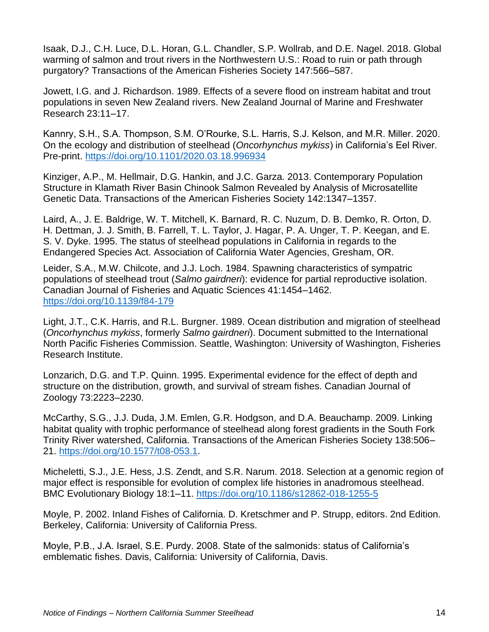Isaak, D.J., C.H. Luce, D.L. Horan, G.L. Chandler, S.P. Wollrab, and D.E. Nagel. 2018. Global warming of salmon and trout rivers in the Northwestern U.S.: Road to ruin or path through purgatory? Transactions of the American Fisheries Society 147:566–587.

Jowett, I.G. and J. Richardson. 1989. Effects of a severe flood on instream habitat and trout populations in seven New Zealand rivers. New Zealand Journal of Marine and Freshwater Research 23:11–17.

Kannry, S.H., S.A. Thompson, S.M. O'Rourke, S.L. Harris, S.J. Kelson, and M.R. Miller. 2020. On the ecology and distribution of steelhead (*Oncorhynchus mykiss*) in California's Eel River. Pre-print.<https://doi.org/10.1101/2020.03.18.996934>

Kinziger, A.P., M. Hellmair, D.G. Hankin, and J.C. Garza. 2013. Contemporary Population Structure in Klamath River Basin Chinook Salmon Revealed by Analysis of Microsatellite Genetic Data. Transactions of the American Fisheries Society 142:1347–1357.

Laird, A., J. E. Baldrige, W. T. Mitchell, K. Barnard, R. C. Nuzum, D. B. Demko, R. Orton, D. H. Dettman, J. J. Smith, B. Farrell, T. L. Taylor, J. Hagar, P. A. Unger, T. P. Keegan, and E. S. V. Dyke. 1995. The status of steelhead populations in California in regards to the Endangered Species Act. Association of California Water Agencies, Gresham, OR.

Leider, S.A., M.W. Chilcote, and J.J. Loch. 1984. Spawning characteristics of sympatric populations of steelhead trout (*Salmo gairdneri*): evidence for partial reproductive isolation. Canadian Journal of Fisheries and Aquatic Sciences 41:1454–1462. <https://doi.org/10.1139/f84-179>

Light, J.T., C.K. Harris, and R.L. Burgner. 1989. Ocean distribution and migration of steelhead (*Oncorhynchus mykiss*, formerly *Salmo gairdneri*). Document submitted to the International North Pacific Fisheries Commission. Seattle, Washington: University of Washington, Fisheries Research Institute.

Lonzarich, D.G. and T.P. Quinn. 1995. Experimental evidence for the effect of depth and structure on the distribution, growth, and survival of stream fishes. Canadian Journal of Zoology 73:2223–2230.

McCarthy, S.G., J.J. Duda, J.M. Emlen, G.R. Hodgson, and D.A. Beauchamp. 2009. Linking habitat quality with trophic performance of steelhead along forest gradients in the South Fork Trinity River watershed, California. Transactions of the American Fisheries Society 138:506– 21. [https://doi.org/10.1577/t08-053.1.](https://doi.org/10.1577/t08-053.1)

Micheletti, S.J., J.E. Hess, J.S. Zendt, and S.R. Narum. 2018. Selection at a genomic region of major effect is responsible for evolution of complex life histories in anadromous steelhead. BMC Evolutionary Biology 18:1–11.<https://doi.org/10.1186/s12862-018-1255-5>

Moyle, P. 2002. Inland Fishes of California. D. Kretschmer and P. Strupp, editors. 2nd Edition. Berkeley, California: University of California Press.

Moyle, P.B., J.A. Israel, S.E. Purdy. 2008. State of the salmonids: status of California's emblematic fishes. Davis, California: University of California, Davis.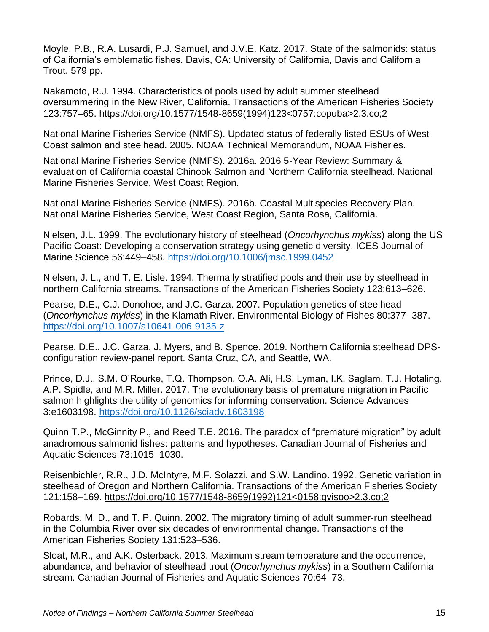Moyle, P.B., R.A. Lusardi, P.J. Samuel, and J.V.E. Katz. 2017. State of the salmonids: status of California's emblematic fishes. Davis, CA: University of California, Davis and California Trout. 579 pp.

Nakamoto, R.J. 1994. Characteristics of pools used by adult summer steelhead oversummering in the New River, California. Transactions of the American Fisheries Society 123:757–65. https://doi.org/10.1577/1548-8659(1994)123<0757:copuba>2.3.co;2

National Marine Fisheries Service (NMFS). Updated status of federally listed ESUs of West Coast salmon and steelhead. 2005. NOAA Technical Memorandum, NOAA Fisheries.

National Marine Fisheries Service (NMFS). 2016a. 2016 5-Year Review: Summary & evaluation of California coastal Chinook Salmon and Northern California steelhead. National Marine Fisheries Service, West Coast Region.

National Marine Fisheries Service (NMFS). 2016b. Coastal Multispecies Recovery Plan. National Marine Fisheries Service, West Coast Region, Santa Rosa, California.

Nielsen, J.L. 1999. The evolutionary history of steelhead (*Oncorhynchus mykiss*) along the US Pacific Coast: Developing a conservation strategy using genetic diversity. ICES Journal of Marine Science 56:449–458.<https://doi.org/10.1006/jmsc.1999.0452>

Nielsen, J. L., and T. E. Lisle. 1994. Thermally stratified pools and their use by steelhead in northern California streams. Transactions of the American Fisheries Society 123:613–626.

Pearse, D.E., C.J. Donohoe, and J.C. Garza. 2007. Population genetics of steelhead (*Oncorhynchus mykiss*) in the Klamath River. Environmental Biology of Fishes 80:377–387. <https://doi.org/10.1007/s10641-006-9135-z>

Pearse, D.E., J.C. Garza, J. Myers, and B. Spence. 2019. Northern California steelhead DPSconfiguration review-panel report. Santa Cruz, CA, and Seattle, WA.

Prince, D.J., S.M. O'Rourke, T.Q. Thompson, O.A. Ali, H.S. Lyman, I.K. Saglam, T.J. Hotaling, A.P. Spidle, and M.R. Miller. 2017. The evolutionary basis of premature migration in Pacific salmon highlights the utility of genomics for informing conservation. Science Advances 3:e1603198.<https://doi.org/10.1126/sciadv.1603198>

Quinn T.P., McGinnity P., and Reed T.E. 2016. The paradox of "premature migration" by adult anadromous salmonid fishes: patterns and hypotheses. Canadian Journal of Fisheries and Aquatic Sciences 73:1015–1030.

Reisenbichler, R.R., J.D. McIntyre, M.F. Solazzi, and S.W. Landino. 1992. Genetic variation in steelhead of Oregon and Northern California. Transactions of the American Fisheries Society 121:158–169. https://doi.org/10.1577/1548-8659(1992)121<0158:gvisoo>2.3.co;2

Robards, M. D., and T. P. Quinn. 2002. The migratory timing of adult summer‐run steelhead in the Columbia River over six decades of environmental change. Transactions of the American Fisheries Society 131:523–536.

Sloat, M.R., and A.K. Osterback. 2013. Maximum stream temperature and the occurrence, abundance, and behavior of steelhead trout (*Oncorhynchus mykiss*) in a Southern California stream. Canadian Journal of Fisheries and Aquatic Sciences 70:64–73.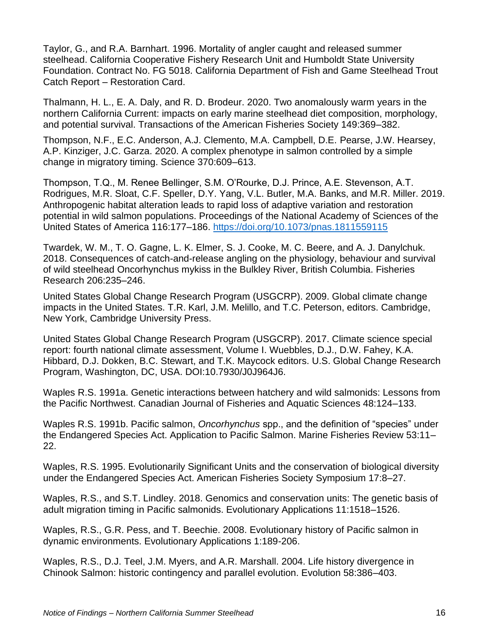Taylor, G., and R.A. Barnhart. 1996. Mortality of angler caught and released summer steelhead. California Cooperative Fishery Research Unit and Humboldt State University Foundation. Contract No. FG 5018. California Department of Fish and Game Steelhead Trout Catch Report – Restoration Card.

Thalmann, H. L., E. A. Daly, and R. D. Brodeur. 2020. Two anomalously warm years in the northern California Current: impacts on early marine steelhead diet composition, morphology, and potential survival. Transactions of the American Fisheries Society 149:369–382.

Thompson, N.F., E.C. Anderson, A.J. Clemento, M.A. Campbell, D.E. Pearse, J.W. Hearsey, A.P. Kinziger, J.C. Garza. 2020. A complex phenotype in salmon controlled by a simple change in migratory timing. Science 370:609–613.

Thompson, T.Q., M. Renee Bellinger, S.M. O'Rourke, D.J. Prince, A.E. Stevenson, A.T. Rodrigues, M.R. Sloat, C.F. Speller, D.Y. Yang, V.L. Butler, M.A. Banks, and M.R. Miller. 2019. Anthropogenic habitat alteration leads to rapid loss of adaptive variation and restoration potential in wild salmon populations. Proceedings of the National Academy of Sciences of the United States of America 116:177–186.<https://doi.org/10.1073/pnas.1811559115>

Twardek, W. M., T. O. Gagne, L. K. Elmer, S. J. Cooke, M. C. Beere, and A. J. Danylchuk. 2018. Consequences of catch-and-release angling on the physiology, behaviour and survival of wild steelhead Oncorhynchus mykiss in the Bulkley River, British Columbia. Fisheries Research 206:235–246.

United States Global Change Research Program (USGCRP). 2009. Global climate change impacts in the United States. T.R. Karl, J.M. Melillo, and T.C. Peterson, editors. Cambridge, New York, Cambridge University Press.

United States Global Change Research Program (USGCRP). 2017. Climate science special report: fourth national climate assessment, Volume I. Wuebbles, D.J., D.W. Fahey, K.A. Hibbard, D.J. Dokken, B.C. Stewart, and T.K. Maycock editors. U.S. Global Change Research Program, Washington, DC, USA. DOI:10.7930/J0J964J6.

Waples R.S. 1991a. Genetic interactions between hatchery and wild salmonids: Lessons from the Pacific Northwest. Canadian Journal of Fisheries and Aquatic Sciences 48:124–133.

Waples R.S. 1991b. Pacific salmon, *Oncorhynchus* spp., and the definition of "species" under the Endangered Species Act. Application to Pacific Salmon. Marine Fisheries Review 53:11– 22.

Waples, R.S. 1995. Evolutionarily Significant Units and the conservation of biological diversity under the Endangered Species Act. American Fisheries Society Symposium 17:8–27.

Waples, R.S., and S.T. Lindley. 2018. Genomics and conservation units: The genetic basis of adult migration timing in Pacific salmonids. Evolutionary Applications 11:1518–1526.

Waples, R.S., G.R. Pess, and T. Beechie. 2008. Evolutionary history of Pacific salmon in dynamic environments. Evolutionary Applications 1:189-206.

Waples, R.S., D.J. Teel, J.M. Myers, and A.R. Marshall. 2004. Life history divergence in Chinook Salmon: historic contingency and parallel evolution. Evolution 58:386–403.